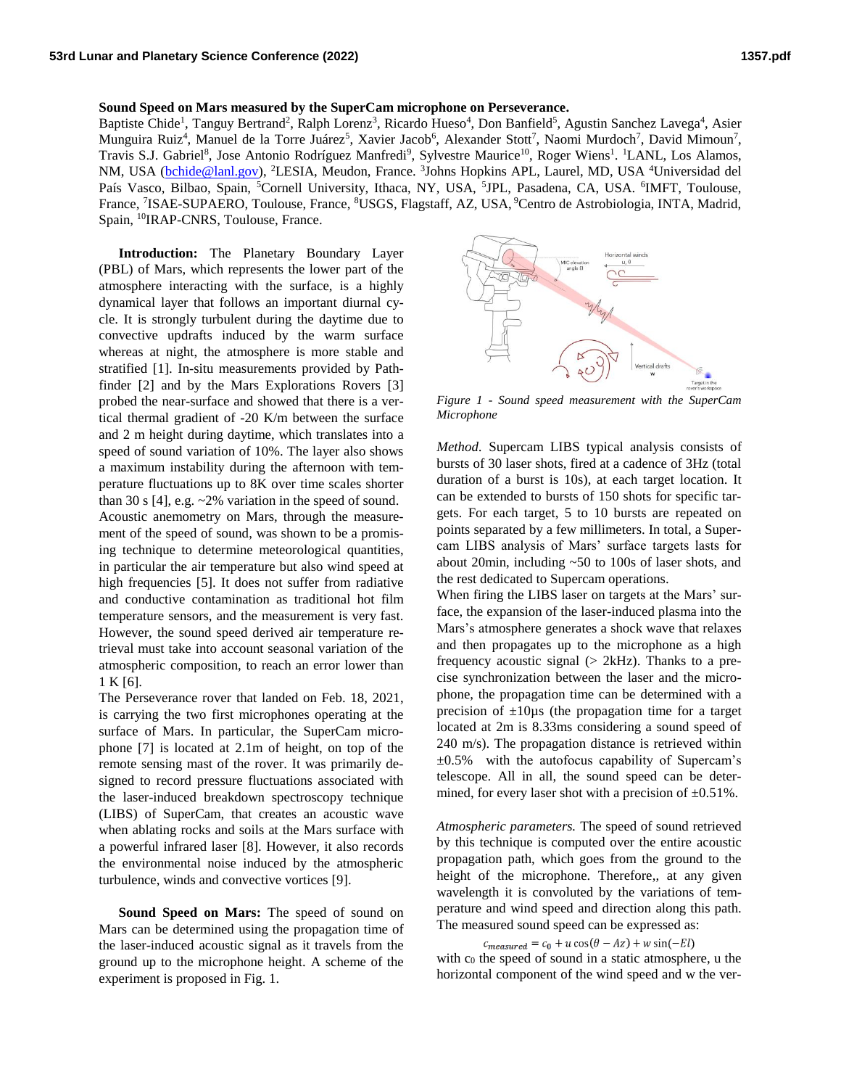## **Sound Speed on Mars measured by the SuperCam microphone on Perseverance.**

Baptiste Chide<sup>1</sup>, Tanguy Bertrand<sup>2</sup>, Ralph Lorenz<sup>3</sup>, Ricardo Hueso<sup>4</sup>, Don Banfield<sup>5</sup>, Agustin Sanchez Lavega<sup>4</sup>, Asier Munguira Ruiz<sup>4</sup>, Manuel de la Torre Juárez<sup>5</sup>, Xavier Jacob<sup>6</sup>, Alexander Stott<sup>7</sup>, Naomi Murdoch<sup>7</sup>, David Mimoun<sup>7</sup>, Travis S.J. Gabriel<sup>8</sup>, Jose Antonio Rodríguez Manfredi<sup>9</sup>, Sylvestre Maurice<sup>10</sup>, Roger Wiens<sup>1</sup>. <sup>1</sup>LANL, Los Alamos, NM, USA [\(bchide@lanl.gov\)](mailto:bchide@lanl.gov), <sup>2</sup>LESIA, Meudon, France. <sup>3</sup>Johns Hopkins APL, Laurel, MD, USA <sup>4</sup>Universidad del País Vasco, Bilbao, Spain, <sup>5</sup>Cornell University, Ithaca, NY, USA, <sup>5</sup>JPL, Pasadena, CA, USA. <sup>6</sup>IMFT, Toulouse, France, <sup>7</sup>ISAE-SUPAERO, Toulouse, France, <sup>8</sup>USGS, Flagstaff, AZ, USA, <sup>9</sup>Centro de Astrobiologia, INTA, Madrid, Spain, <sup>10</sup>IRAP-CNRS, Toulouse, France.

**Introduction:** The Planetary Boundary Layer (PBL) of Mars, which represents the lower part of the atmosphere interacting with the surface, is a highly dynamical layer that follows an important diurnal cycle. It is strongly turbulent during the daytime due to convective updrafts induced by the warm surface whereas at night, the atmosphere is more stable and stratified [1]. In-situ measurements provided by Pathfinder [2] and by the Mars Explorations Rovers [3] probed the near-surface and showed that there is a vertical thermal gradient of -20 K/m between the surface and 2 m height during daytime, which translates into a speed of sound variation of 10%. The layer also shows a maximum instability during the afternoon with temperature fluctuations up to 8K over time scales shorter than 30 s [4], e.g. ~2% variation in the speed of sound. Acoustic anemometry on Mars, through the measurement of the speed of sound, was shown to be a promising technique to determine meteorological quantities, in particular the air temperature but also wind speed at high frequencies [5]. It does not suffer from radiative and conductive contamination as traditional hot film temperature sensors, and the measurement is very fast. However, the sound speed derived air temperature retrieval must take into account seasonal variation of the atmospheric composition, to reach an error lower than 1 K [6].

The Perseverance rover that landed on Feb. 18, 2021, is carrying the two first microphones operating at the surface of Mars. In particular, the SuperCam microphone [7] is located at 2.1m of height, on top of the remote sensing mast of the rover. It was primarily designed to record pressure fluctuations associated with the laser-induced breakdown spectroscopy technique (LIBS) of SuperCam, that creates an acoustic wave when ablating rocks and soils at the Mars surface with a powerful infrared laser [8]. However, it also records the environmental noise induced by the atmospheric turbulence, winds and convective vortices [9].

**Sound Speed on Mars:** The speed of sound on Mars can be determined using the propagation time of the laser-induced acoustic signal as it travels from the ground up to the microphone height. A scheme of the experiment is proposed in Fig. 1.



*Figure 1 - Sound speed measurement with the SuperCam Microphone*

*Method.* Supercam LIBS typical analysis consists of bursts of 30 laser shots, fired at a cadence of 3Hz (total duration of a burst is 10s), at each target location. It can be extended to bursts of 150 shots for specific targets. For each target, 5 to 10 bursts are repeated on points separated by a few millimeters. In total, a Supercam LIBS analysis of Mars' surface targets lasts for about 20min, including ~50 to 100s of laser shots, and the rest dedicated to Supercam operations.

When firing the LIBS laser on targets at the Mars' surface, the expansion of the laser-induced plasma into the Mars's atmosphere generates a shock wave that relaxes and then propagates up to the microphone as a high frequency acoustic signal  $($   $>$  2kHz). Thanks to a precise synchronization between the laser and the microphone, the propagation time can be determined with a precision of  $\pm 10\mu s$  (the propagation time for a target located at 2m is 8.33ms considering a sound speed of 240 m/s). The propagation distance is retrieved within  $\pm 0.5\%$  with the autofocus capability of Supercam's telescope. All in all, the sound speed can be determined, for every laser shot with a precision of  $\pm 0.51\%$ .

*Atmospheric parameters.* The speed of sound retrieved by this technique is computed over the entire acoustic propagation path, which goes from the ground to the height of the microphone. Therefore,, at any given wavelength it is convoluted by the variations of temperature and wind speed and direction along this path. The measured sound speed can be expressed as:

## $c_{measured} = c_0 + u \cos(\theta - Az) + w \sin(-El)$

with  $c_0$  the speed of sound in a static atmosphere, u the horizontal component of the wind speed and w the ver